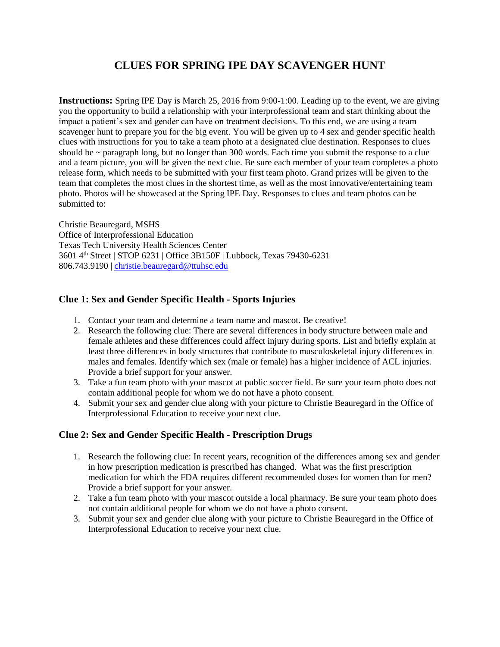# **CLUES FOR SPRING IPE DAY SCAVENGER HUNT**

**Instructions:** Spring IPE Day is March 25, 2016 from 9:00-1:00. Leading up to the event, we are giving you the opportunity to build a relationship with your interprofessional team and start thinking about the impact a patient's sex and gender can have on treatment decisions. To this end, we are using a team scavenger hunt to prepare you for the big event. You will be given up to 4 sex and gender specific health clues with instructions for you to take a team photo at a designated clue destination. Responses to clues should be  $\sim$  paragraph long, but no longer than 300 words. Each time you submit the response to a clue and a team picture, you will be given the next clue. Be sure each member of your team completes a photo release form, which needs to be submitted with your first team photo. Grand prizes will be given to the team that completes the most clues in the shortest time, as well as the most innovative/entertaining team photo. Photos will be showcased at the Spring IPE Day. Responses to clues and team photos can be submitted to:

Christie Beauregard, MSHS Office of Interprofessional Education Texas Tech University Health Sciences Center 3601 4th Street | STOP 6231 | Office 3B150F | Lubbock, Texas 79430-6231 806.743.9190 | [christie.beauregard@ttuhsc.edu](mailto:christie.beauregard@ttuhsc.edu)

# **Clue 1: Sex and Gender Specific Health - Sports Injuries**

- 1. Contact your team and determine a team name and mascot. Be creative!
- 2. Research the following clue: There are several differences in body structure between male and female athletes and these differences could affect injury during sports. List and briefly explain at least three differences in body structures that contribute to musculoskeletal injury differences in males and females. Identify which sex (male or female) has a higher incidence of ACL injuries. Provide a brief support for your answer.
- 3. Take a fun team photo with your mascot at public soccer field. Be sure your team photo does not contain additional people for whom we do not have a photo consent.
- 4. Submit your sex and gender clue along with your picture to Christie Beauregard in the Office of Interprofessional Education to receive your next clue.

### **Clue 2: Sex and Gender Specific Health - Prescription Drugs**

- 1. Research the following clue: In recent years, recognition of the differences among sex and gender in how prescription medication is prescribed has changed. What was the first prescription medication for which the FDA requires different recommended doses for women than for men? Provide a brief support for your answer.
- 2. Take a fun team photo with your mascot outside a local pharmacy. Be sure your team photo does not contain additional people for whom we do not have a photo consent.
- 3. Submit your sex and gender clue along with your picture to Christie Beauregard in the Office of Interprofessional Education to receive your next clue.